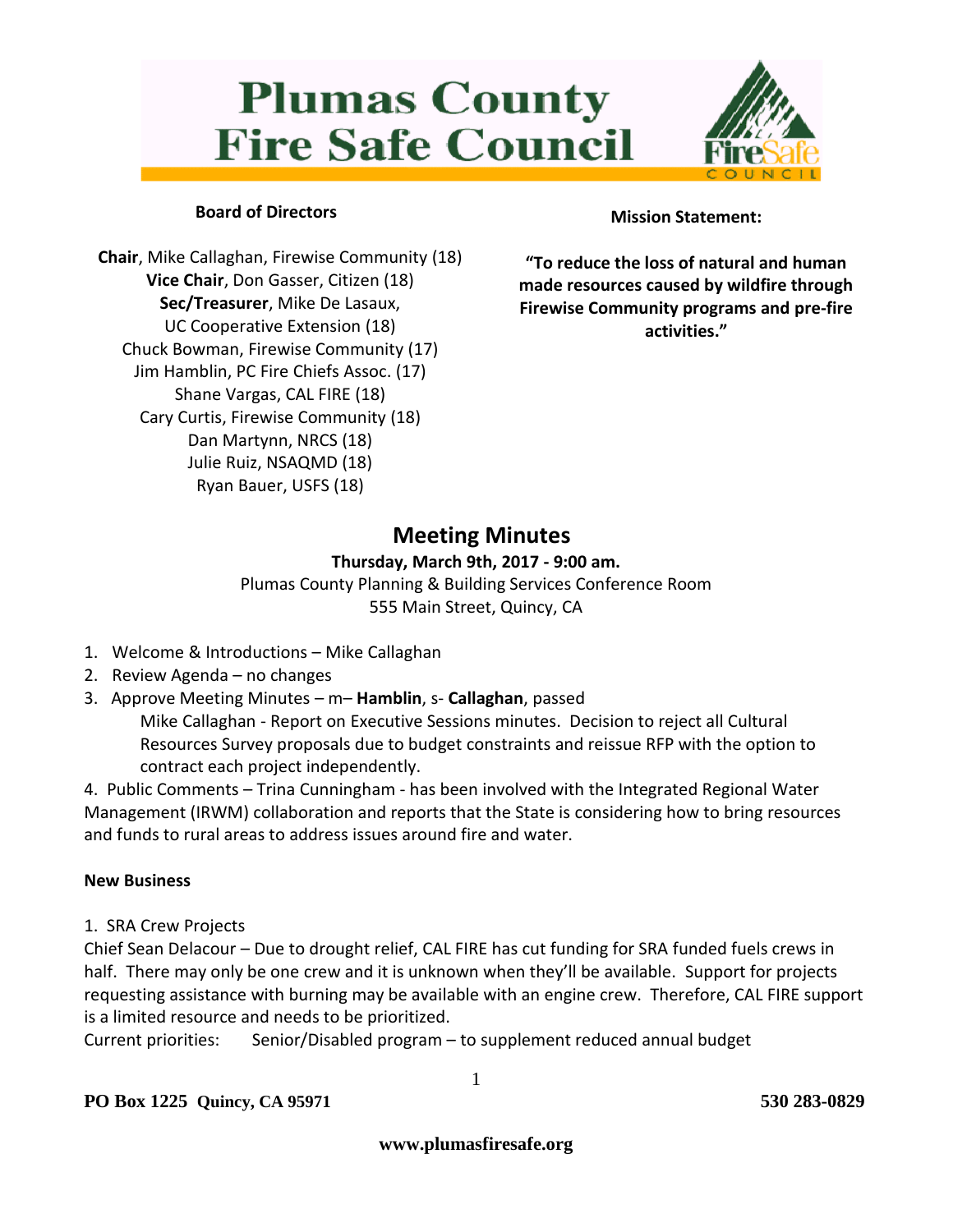# **Plumas County Fire Safe Council**



# **Board of Directors**

**Chair**, Mike Callaghan, Firewise Community (18) **Vice Chair**, Don Gasser, Citizen (18) **Sec/Treasurer**, Mike De Lasaux, UC Cooperative Extension (18) Chuck Bowman, Firewise Community (17) Jim Hamblin, PC Fire Chiefs Assoc. (17) Shane Vargas, CAL FIRE (18) Cary Curtis, Firewise Community (18) Dan Martynn, NRCS (18) Julie Ruiz, NSAQMD (18) Ryan Bauer, USFS (18)

# **Mission Statement:**

**"To reduce the loss of natural and human made resources caused by wildfire through Firewise Community programs and pre-fire activities."**

# **Meeting Minutes**

#### **Thursday, March 9th, 2017 - 9:00 am.**

Plumas County Planning & Building Services Conference Room 555 Main Street, Quincy, CA

- 1. Welcome & Introductions Mike Callaghan
- 2. Review Agenda no changes
- 3. Approve Meeting Minutes m– **Hamblin**, s- **Callaghan**, passed Mike Callaghan - Report on Executive Sessions minutes. Decision to reject all Cultural Resources Survey proposals due to budget constraints and reissue RFP with the option to contract each project independently.

4. Public Comments – Trina Cunningham - has been involved with the Integrated Regional Water Management (IRWM) collaboration and reports that the State is considering how to bring resources and funds to rural areas to address issues around fire and water.

#### **New Business**

#### 1. SRA Crew Projects

Chief Sean Delacour – Due to drought relief, CAL FIRE has cut funding for SRA funded fuels crews in half. There may only be one crew and it is unknown when they'll be available. Support for projects requesting assistance with burning may be available with an engine crew. Therefore, CAL FIRE support is a limited resource and needs to be prioritized.

Current priorities: Senior/Disabled program – to supplement reduced annual budget

1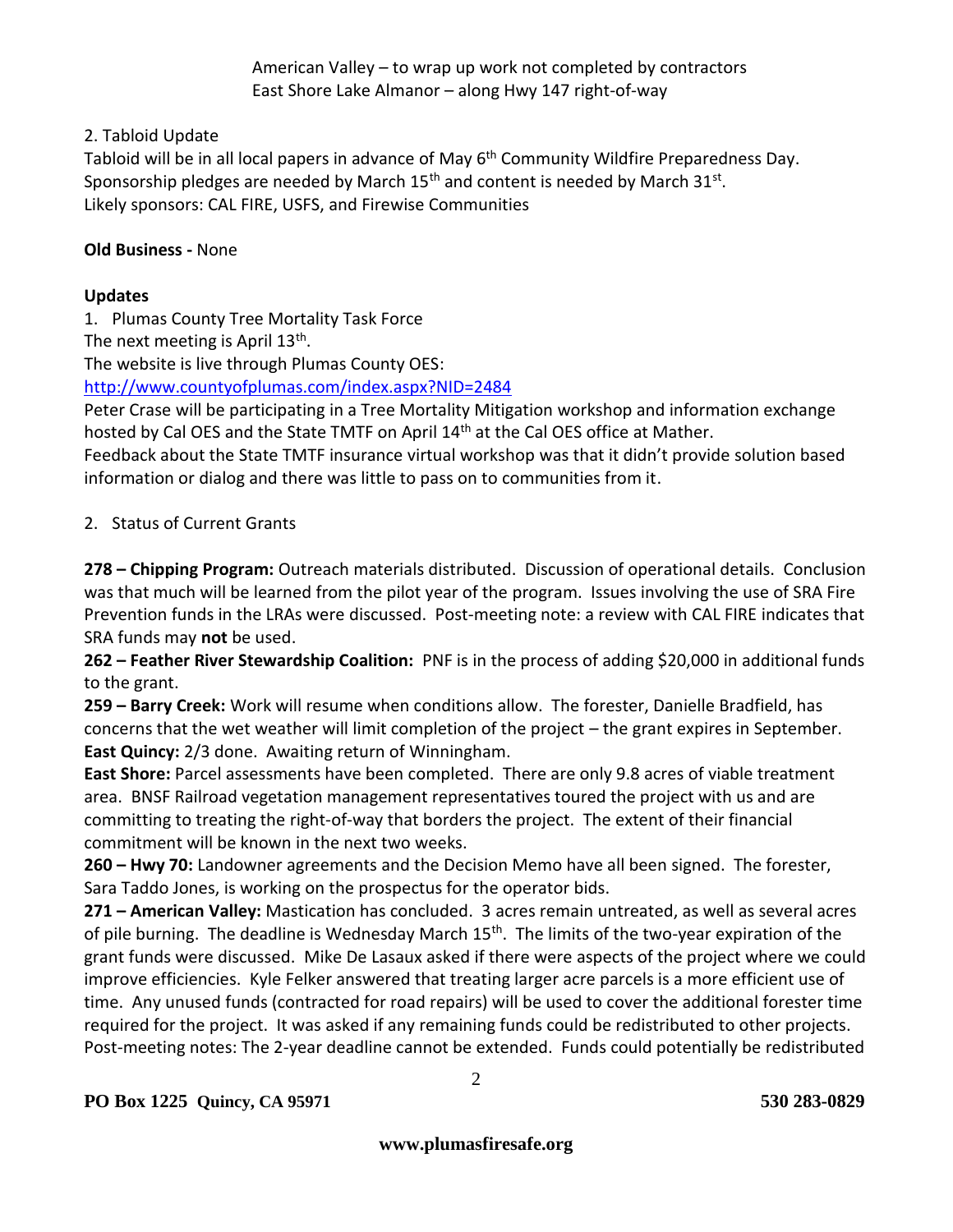American Valley – to wrap up work not completed by contractors East Shore Lake Almanor – along Hwy 147 right-of-way

# 2. Tabloid Update

Tabloid will be in all local papers in advance of May 6<sup>th</sup> Community Wildfire Preparedness Day. Sponsorship pledges are needed by March  $15<sup>th</sup>$  and content is needed by March  $31<sup>st</sup>$ . Likely sponsors: CAL FIRE, USFS, and Firewise Communities

#### **Old Business -** None

# **Updates**

1. Plumas County Tree Mortality Task Force

The next meeting is April  $13^{\text{th}}$ .

The website is live through Plumas County OES:

<http://www.countyofplumas.com/index.aspx?NID=2484>

Peter Crase will be participating in a Tree Mortality Mitigation workshop and information exchange hosted by Cal OES and the State TMTF on April 14<sup>th</sup> at the Cal OES office at Mather.

Feedback about the State TMTF insurance virtual workshop was that it didn't provide solution based information or dialog and there was little to pass on to communities from it.

# 2. Status of Current Grants

**278 – Chipping Program:** Outreach materials distributed. Discussion of operational details. Conclusion was that much will be learned from the pilot year of the program. Issues involving the use of SRA Fire Prevention funds in the LRAs were discussed. Post-meeting note: a review with CAL FIRE indicates that SRA funds may **not** be used.

**262 – Feather River Stewardship Coalition:** PNF is in the process of adding \$20,000 in additional funds to the grant.

**259 – Barry Creek:** Work will resume when conditions allow. The forester, Danielle Bradfield, has concerns that the wet weather will limit completion of the project – the grant expires in September. **East Quincy:** 2/3 done. Awaiting return of Winningham.

**East Shore:** Parcel assessments have been completed. There are only 9.8 acres of viable treatment area. BNSF Railroad vegetation management representatives toured the project with us and are committing to treating the right-of-way that borders the project. The extent of their financial commitment will be known in the next two weeks.

**260 – Hwy 70:** Landowner agreements and the Decision Memo have all been signed. The forester, Sara Taddo Jones, is working on the prospectus for the operator bids.

**271 – American Valley:** Mastication has concluded. 3 acres remain untreated, as well as several acres of pile burning. The deadline is Wednesday March 15<sup>th</sup>. The limits of the two-year expiration of the grant funds were discussed. Mike De Lasaux asked if there were aspects of the project where we could improve efficiencies. Kyle Felker answered that treating larger acre parcels is a more efficient use of time. Any unused funds (contracted for road repairs) will be used to cover the additional forester time required for the project. It was asked if any remaining funds could be redistributed to other projects. Post-meeting notes: The 2-year deadline cannot be extended. Funds could potentially be redistributed

2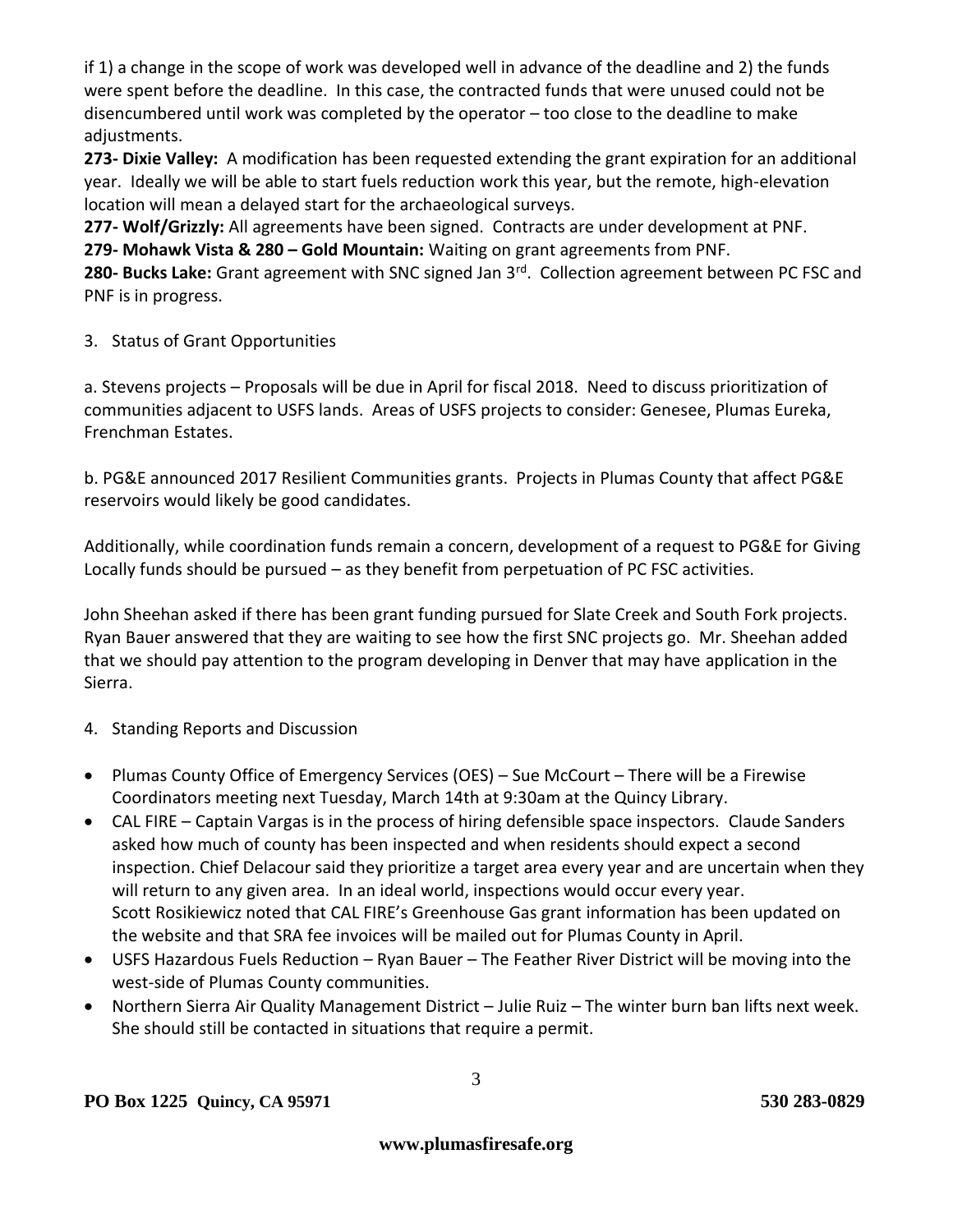if 1) a change in the scope of work was developed well in advance of the deadline and 2) the funds were spent before the deadline. In this case, the contracted funds that were unused could not be disencumbered until work was completed by the operator – too close to the deadline to make adjustments.

**273- Dixie Valley:** A modification has been requested extending the grant expiration for an additional year. Ideally we will be able to start fuels reduction work this year, but the remote, high-elevation location will mean a delayed start for the archaeological surveys.

**277- Wolf/Grizzly:** All agreements have been signed. Contracts are under development at PNF.

**279- Mohawk Vista & 280 – Gold Mountain:** Waiting on grant agreements from PNF.

**280- Bucks Lake:** Grant agreement with SNC signed Jan 3rd. Collection agreement between PC FSC and PNF is in progress.

3. Status of Grant Opportunities

a. Stevens projects – Proposals will be due in April for fiscal 2018. Need to discuss prioritization of communities adjacent to USFS lands. Areas of USFS projects to consider: Genesee, Plumas Eureka, Frenchman Estates.

b. PG&E announced 2017 Resilient Communities grants. Projects in Plumas County that affect PG&E reservoirs would likely be good candidates.

Additionally, while coordination funds remain a concern, development of a request to PG&E for Giving Locally funds should be pursued – as they benefit from perpetuation of PC FSC activities.

John Sheehan asked if there has been grant funding pursued for Slate Creek and South Fork projects. Ryan Bauer answered that they are waiting to see how the first SNC projects go. Mr. Sheehan added that we should pay attention to the program developing in Denver that may have application in the Sierra.

- 4. Standing Reports and Discussion
- Plumas County Office of Emergency Services (OES) Sue McCourt There will be a Firewise Coordinators meeting next Tuesday, March 14th at 9:30am at the Quincy Library.
- CAL FIRE Captain Vargas is in the process of hiring defensible space inspectors. Claude Sanders asked how much of county has been inspected and when residents should expect a second inspection. Chief Delacour said they prioritize a target area every year and are uncertain when they will return to any given area. In an ideal world, inspections would occur every year. Scott Rosikiewicz noted that CAL FIRE's Greenhouse Gas grant information has been updated on the website and that SRA fee invoices will be mailed out for Plumas County in April.
- USFS Hazardous Fuels Reduction Ryan Bauer The Feather River District will be moving into the west-side of Plumas County communities.
- Northern Sierra Air Quality Management District Julie Ruiz The winter burn ban lifts next week. She should still be contacted in situations that require a permit.